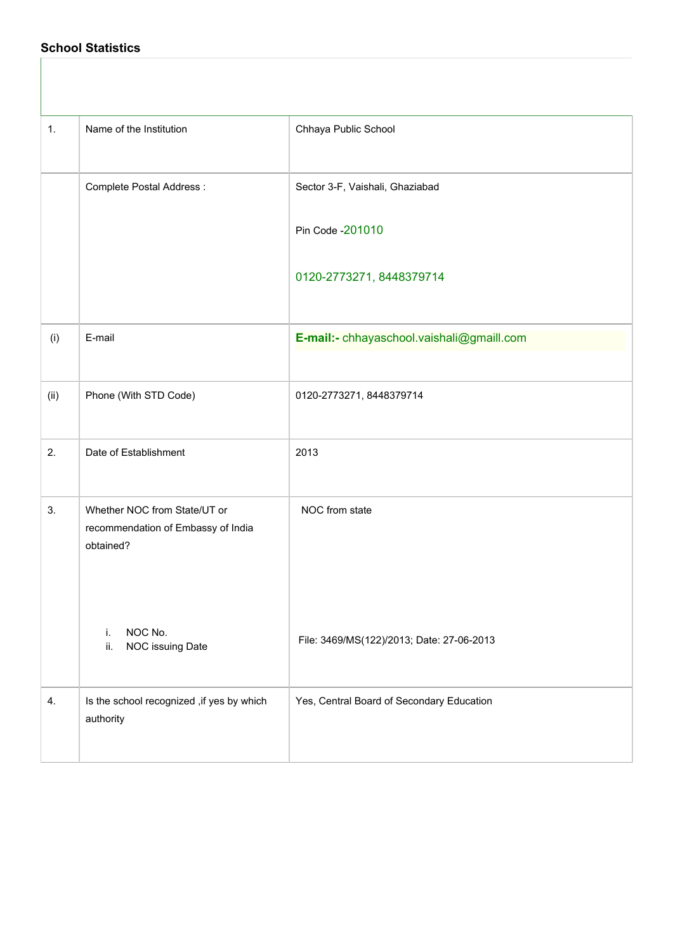## **School Statistics**

| 1.   | Name of the Institution                                                         | Chhaya Public School                      |
|------|---------------------------------------------------------------------------------|-------------------------------------------|
|      | Complete Postal Address :                                                       | Sector 3-F, Vaishali, Ghaziabad           |
|      |                                                                                 | Pin Code - 201010                         |
|      |                                                                                 | 0120-2773271, 8448379714                  |
| (i)  | E-mail                                                                          | E-mail:- chhayaschool.vaishali@gmaill.com |
| (ii) | Phone (With STD Code)                                                           | 0120-2773271, 8448379714                  |
| 2.   | Date of Establishment                                                           | 2013                                      |
| 3.   | Whether NOC from State/UT or<br>recommendation of Embassy of India<br>obtained? | NOC from state                            |
|      | NOC No.<br>i.<br>NOC issuing Date<br>ii.                                        | File: 3469/MS(122)/2013; Date: 27-06-2013 |
| 4.   | Is the school recognized , if yes by which<br>authority                         | Yes, Central Board of Secondary Education |
|      |                                                                                 |                                           |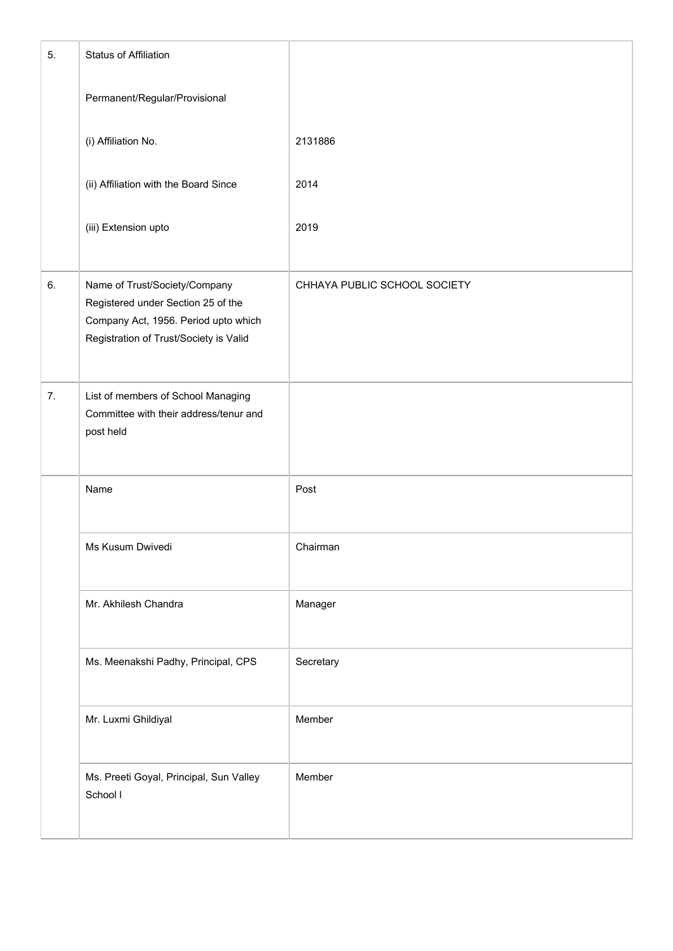| 5. | Status of Affiliation                                                                                                                                 |                              |
|----|-------------------------------------------------------------------------------------------------------------------------------------------------------|------------------------------|
|    | Permanent/Regular/Provisional                                                                                                                         |                              |
|    | (i) Affiliation No.                                                                                                                                   | 2131886                      |
|    | (ii) Affiliation with the Board Since                                                                                                                 | 2014                         |
|    | (iii) Extension upto                                                                                                                                  | 2019                         |
| 6. | Name of Trust/Society/Company<br>Registered under Section 25 of the<br>Company Act, 1956. Period upto which<br>Registration of Trust/Society is Valid | CHHAYA PUBLIC SCHOOL SOCIETY |
| 7. | List of members of School Managing<br>Committee with their address/tenur and<br>post held                                                             |                              |
|    | Name                                                                                                                                                  | Post                         |
|    | Ms Kusum Dwivedi                                                                                                                                      | Chairman                     |
|    | Mr. Akhilesh Chandra                                                                                                                                  | Manager                      |
|    | Ms. Meenakshi Padhy, Principal, CPS                                                                                                                   | Secretary                    |
|    | Mr. Luxmi Ghildiyal                                                                                                                                   | Member                       |
|    | Ms. Preeti Goyal, Principal, Sun Valley<br>School I                                                                                                   | Member                       |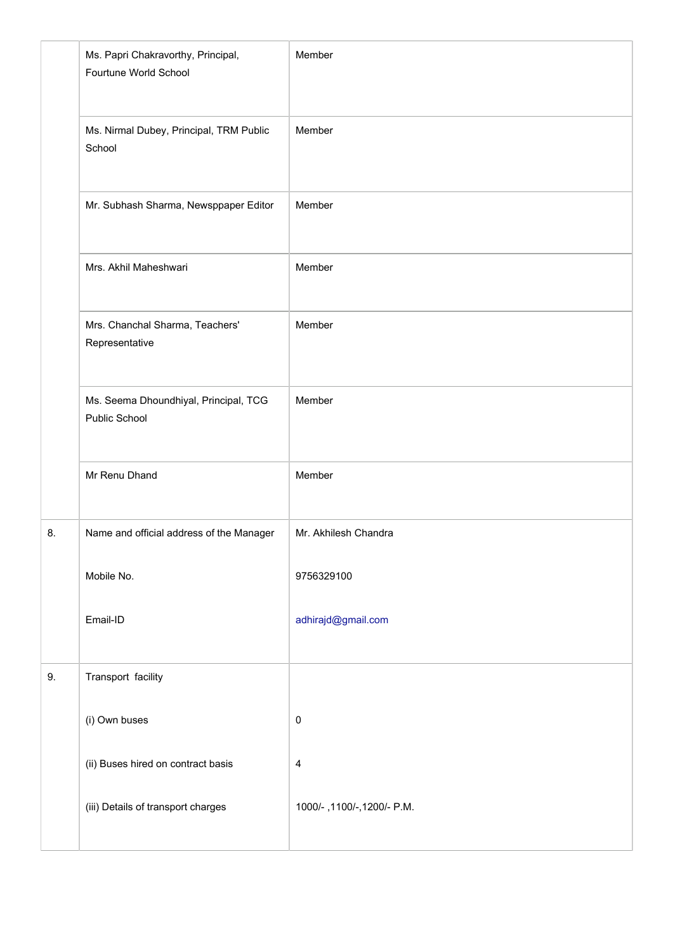|    | Ms. Papri Chakravorthy, Principal,<br>Fourtune World School | Member                      |
|----|-------------------------------------------------------------|-----------------------------|
|    | Ms. Nirmal Dubey, Principal, TRM Public<br>School           | Member                      |
|    | Mr. Subhash Sharma, Newsppaper Editor                       | Member                      |
|    | Mrs. Akhil Maheshwari                                       | Member                      |
|    | Mrs. Chanchal Sharma, Teachers'<br>Representative           | Member                      |
|    | Ms. Seema Dhoundhiyal, Principal, TCG<br>Public School      | Member                      |
|    | Mr Renu Dhand                                               | Member                      |
| 8. | Name and official address of the Manager                    | Mr. Akhilesh Chandra        |
|    | Mobile No.                                                  | 9756329100                  |
|    | Email-ID                                                    | adhirajd@gmail.com          |
| 9. | Transport facility                                          |                             |
|    | (i) Own buses                                               | $\pmb{0}$                   |
|    | (ii) Buses hired on contract basis                          | $\overline{a}$              |
|    | (iii) Details of transport charges                          | 1000/-, 1100/-, 1200/- P.M. |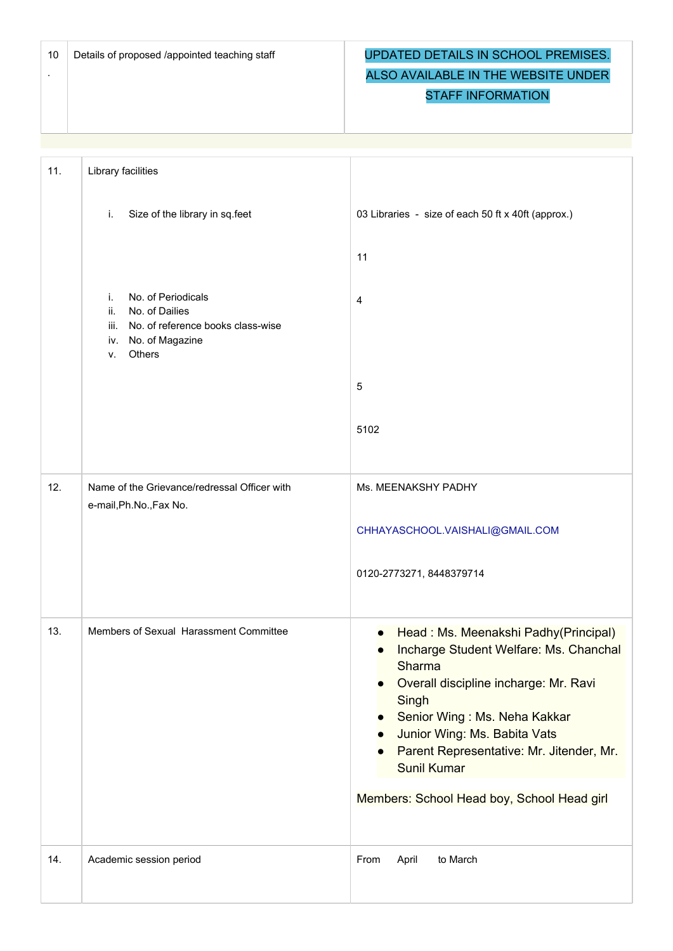.

## Details of proposed /appointed teaching staff **UPDATED DETAILS IN SCHOOL PREMISES.** ALSO AVAILABLE IN THE WEBSITE UNDER

## STAFF INFORMATION

| 11. | Library facilities                                                                                                                                                            |                                                                                                                                                                                                                                                                                                                            |
|-----|-------------------------------------------------------------------------------------------------------------------------------------------------------------------------------|----------------------------------------------------------------------------------------------------------------------------------------------------------------------------------------------------------------------------------------------------------------------------------------------------------------------------|
|     | Size of the library in sq.feet<br>i.<br>No. of Periodicals<br>i.<br>No. of Dailies<br>ii.<br>No. of reference books class-wise<br>iii.<br>iv. No. of Magazine<br>Others<br>V. | 03 Libraries - size of each 50 ft x 40ft (approx.)<br>11<br>$\overline{4}$<br>$\sqrt{5}$<br>5102                                                                                                                                                                                                                           |
|     |                                                                                                                                                                               |                                                                                                                                                                                                                                                                                                                            |
| 12. | Name of the Grievance/redressal Officer with<br>e-mail, Ph.No., Fax No.                                                                                                       | Ms. MEENAKSHY PADHY<br>CHHAYASCHOOL.VAISHALI@GMAIL.COM<br>0120-2773271, 8448379714                                                                                                                                                                                                                                         |
| 13. | Members of Sexual Harassment Committee                                                                                                                                        | Head: Ms. Meenakshi Padhy(Principal)<br>Incharge Student Welfare: Ms. Chanchal<br>Sharma<br>Overall discipline incharge: Mr. Ravi<br>Singh<br>Senior Wing: Ms. Neha Kakkar<br>Junior Wing: Ms. Babita Vats<br>Parent Representative: Mr. Jitender, Mr.<br><b>Sunil Kumar</b><br>Members: School Head boy, School Head girl |
| 14. | Academic session period                                                                                                                                                       | to March<br>From<br>April                                                                                                                                                                                                                                                                                                  |